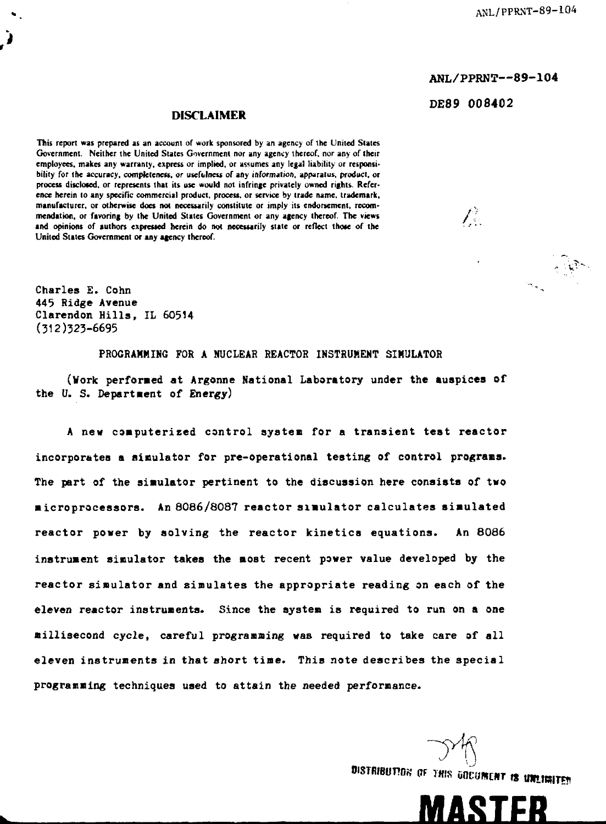**ANL/PPRNT—89-104 DE89 008402**

## **DISCLAIMER**

**This report was prepared as an account of work sponsored by an agency of the United Slates Government. Neither the United States Government nor any agency thereof, nor any of (heir employees, makes any warranty, express or implied, or assumes any lega! liability or responsibility for the accuracy, completeness,** *or* **usefulness of any information, apparatus, product, or process disclosed, or represents that its use would not infringe privately owned rights. Reference herein to any specific commercial product, process, or service by trade name, trademark, manufacturer, or otherwise does not necessarily constitute or imply its endorsement, recom**mendation, or favoring by the United States Government or any agency thereof. The views // **and opinions of authors expressed herein do not necessarily slate or reflect those of the United States Government or any agency thereof.**

**Charles £ . Cohn 443 Ridge Avenue Clarendon Hills , IL 6O5H (312)525-6695**

**PROGRAMMING FOR A NUCLEAR REACTOR INSTRUMENT SIMULATOR**

**(Work performed a t Argonne National Laboratory under the auspice s of the U. S. Department of Energy)**

**A new computerized control system for a transient test reactor incorporates a simulator for pre-operational testing of control programs. The part of the simulator pertinent to the discussion here consists of two microprocessors. An 8086/8087 reactor simulator calculates simulated reactor power by solving the reactor kinetics equations. An 8086 instrument simulator takes the most recent power value developed by the reactor simulator and simulates the appropriate reading on each of the eleven reactor instruments. Since the system is required to run on a one millisecond cycle, careful programming was required to take care of all eleven instruments in that short time. This note describes the special programming techniques used to attain the needed performance.**

 $\bigcup_{\mathbf{p}_{\text{true}}}$ 

»«TRieuraw PF THIS Gocomciir is *mrnm*

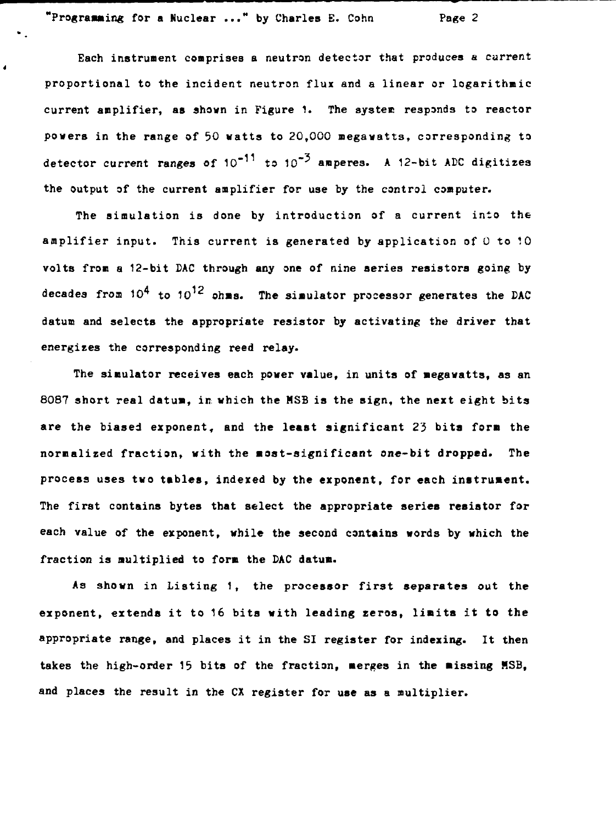**"Programming for a Nuclear ..." by Charles E. Cohn Page 2**

 $\bullet$ 

**Each instrument comprises a neutron detector that produces a current proportional to the incident neutron flux and a linear or logarithmic current amplifier, as shown in Figure 1. The system responds to reactor powers in the range of 50 watts to 20,000 megawatts, corresponding to detector current ranges of 10"<sup>11</sup> to 10"' amperes. A 12-bit ADC digitizes the output of the current amplifier for use by the control computer.**

**The simulation is done by introduction of a current into the amplifier input. This current is generated by application of 0 to 10 volts from a 12-bit DAC through any one of nine aeries resistors going by decades from 10<sup>4</sup> to** *1O^<sup>Z</sup>*  **ohms. The simulator processor generates the DAC datum and selects the appropriate resistor by activating the driver that energises the corresponding reed relay.**

**The simulator receives each power value, in units of megawatts, as an 8087 short real datum, in which the MSB is the sign, the next eight bits are the biased exponent, and the least significant** *2'}* **bita form the normalized fraction, with the most-significant one-bit dropped. The process uses two tables, indexed by the exponent, for each instrument. The first contains bytes that select the appropriate series resistor for each value of the exponent, while the second contains words by which the fraction is multiplied to form the DAC datum.**

**As shown in Listing 1, the processor first separates out the exponent, extends it to 16 bits with leading zeros, limits it to the appropriate range, and places it in the SI register for indexing. It then takes the high-order 15 bits of the fraction, merges in the missing MSB, and places the result in the CX register for use as a multiplier.**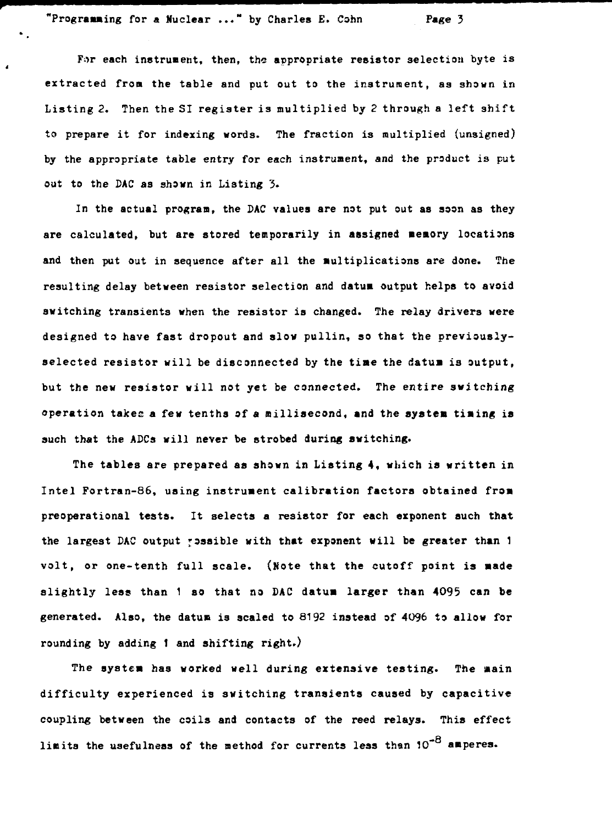**"Programing for a Nuclear ..." by Charles E. Conn Page 3**

For each instrument, then, the appropriate resistor selection byte is **extracted from the table and put out to the instrument, as shown in Listing 2. Then the SI register is multiplied by 2 through a left shift to prepare it for indexing words. The fraction is multiplied (unsigned) by the appropriate table entry for each instrument, and the product is put out to the DAC as shown in Listing 3.**

**In the actual program, the DAC values are not put out as soon as they are calculated, but are stored temporarily in assigned memory locations and then put out in sequence after all the multiplications are done. The resulting delay between resistor selection and datum output helps to avoid switching transients when the resistor is changed. The relay drivers were designed to have fast dropout and slow pullin, so that the previouslyselected resistor will be disconnected by the time the datum is output, but the new resistor will not yet be connected. The entire switching operation takes a few tenths of a millisecond, and the system timing is such that the ADCa will never be strobed during switching.**

**The tables are prepared as shown in Listing 4, which is written in Intel Fortran-86, using instrument calibration factors obtained from preoperational tests. It selects a resistor for each exponent such that the largest DAC output possible with that exponent will be greater than 1 volt, or one-tenth full scale. (Note that the cutoff point is made slightly less than 1 so that no DAC datum larger than 4095 can be generated. Also, the datum is scaled to 6192 instead of 4096 to allow for rounding by adding 1 and shifting right.)**

**The system has worked well during extensive testing. The main difficulty experienced is switching transients caused by capacitive coupling between the coils and contacts of the reed relays. This effect limits the usefulness of the method for currents less than 10" amperes.**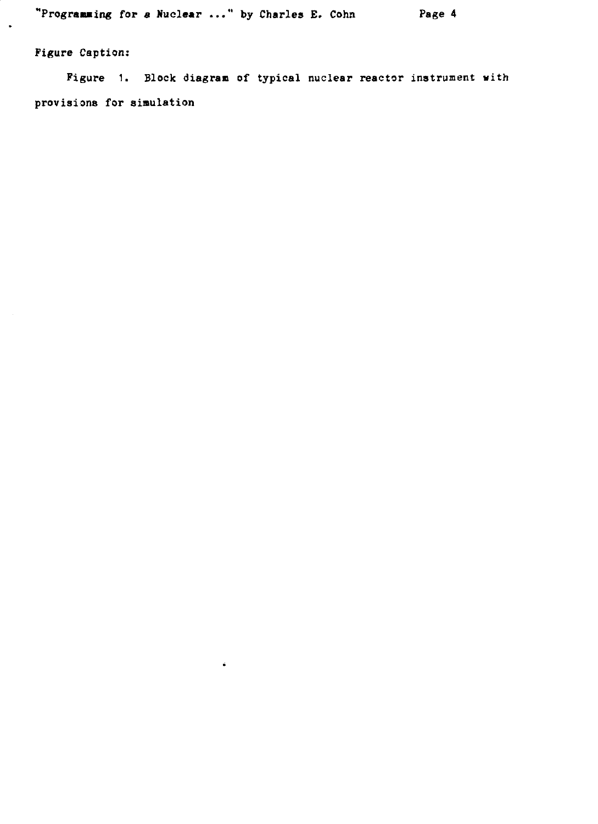$\ddot{\bullet}$ 

**Figure Caption:**

l,

**Figure 1. Block diagram of typical nuclear reactor instrument with provisions for simulation**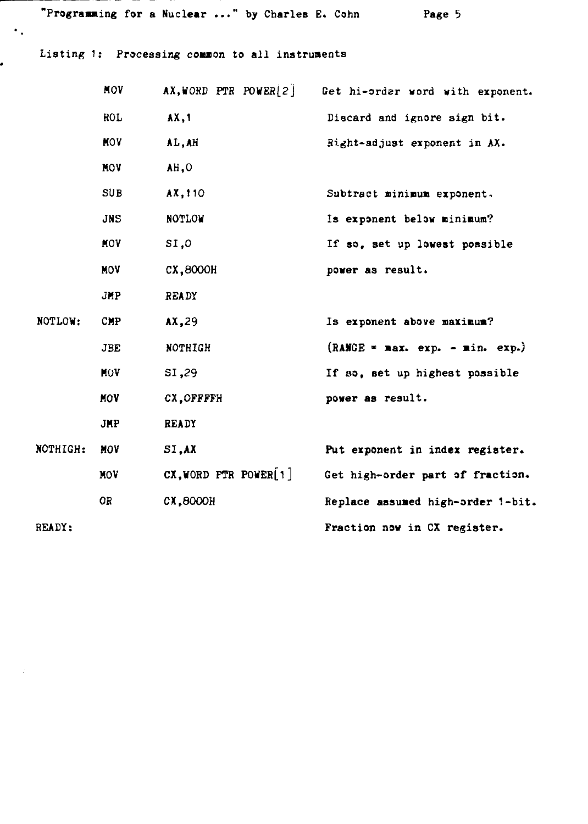**"Programing for a Huclear ..." by Charles E. Cohn Page**

Listing 1: Processing common to all instruments

 $\ddot{\phantom{a}}$  .

.

|          | MOV        | $AX, WORD$ PTR POWER[2]    | Get hi-order word with exponent.  |
|----------|------------|----------------------------|-----------------------------------|
|          | <b>ROL</b> | AX, 1                      | Discard and ignore sign bit.      |
|          | <b>MOV</b> | AL, AH                     | Right-adjust exponent in AX.      |
|          | <b>MOV</b> | AH, O                      |                                   |
|          | SUB        | AX.110                     | Subtract minimum exponent.        |
|          | JNS        | <b>NOTLOW</b>              | Is exponent below minimum?        |
|          | <b>MOV</b> | SI.0                       | If so, set up lowest possible     |
|          | <b>MOV</b> | cx, 8000H                  | power as result.                  |
|          | JMP.       | <b>READY</b>               |                                   |
| NOTLOW:  | <b>CMP</b> | AX.29                      | Is exponent above maximum?        |
|          | <b>JBE</b> | NOTHIGH                    | $(RANGE = max. exp. - min. exp.)$ |
|          | MOV        | SI,29                      | If so, set up highest possible    |
|          | MOV        | CX.OFFFFH                  | power as result.                  |
|          | <b>JMP</b> | <b>READY</b>               |                                   |
| NOTHIGH: | MOV        | SI, AX                     | Put exponent in index register.   |
|          | <b>MOV</b> | $CX, WORD$ FTR POWER $[1]$ | Get high-order part of fraction.  |
|          | OR         | <b>CX.8000H</b>            | Replace assumed high-order 1-bit. |
| READY:   |            |                            | Fraction now in CX register.      |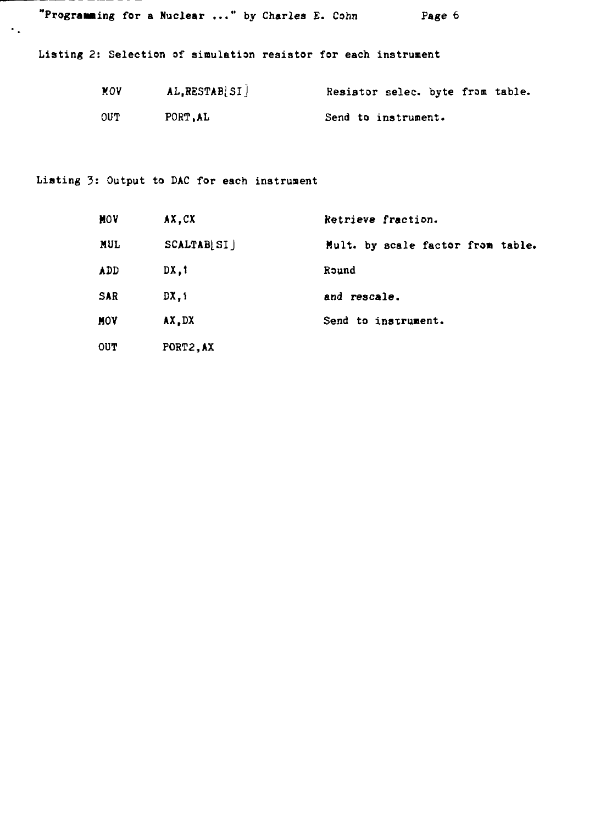**"Programing for a Nuclear ..." by Charles E. Cohn Page 6**

**Listing 2: Selection of simulation resistor for each instrument**

| MOV | AL, RESTAB SI | Resistor selec. byte from table. |
|-----|---------------|----------------------------------|
| OUT | PORT.AL       | Send to instrument.              |

**Listing 3: Output to DAC for each instrument**

 $\epsilon_{\rm in}$ 

| MOV        | AX.CX       | Retrieve fraction.                |
|------------|-------------|-----------------------------------|
| <b>MUL</b> | SCALTAB[SI] | Mult. by scale factor from table. |
| ADD.       | DX.1        | Round                             |
| <b>SAR</b> | DX.1        | and rescale.                      |
| MOV        | AX.DX       | Send to instrument.               |
| <b>OUT</b> | PORT2.AX    |                                   |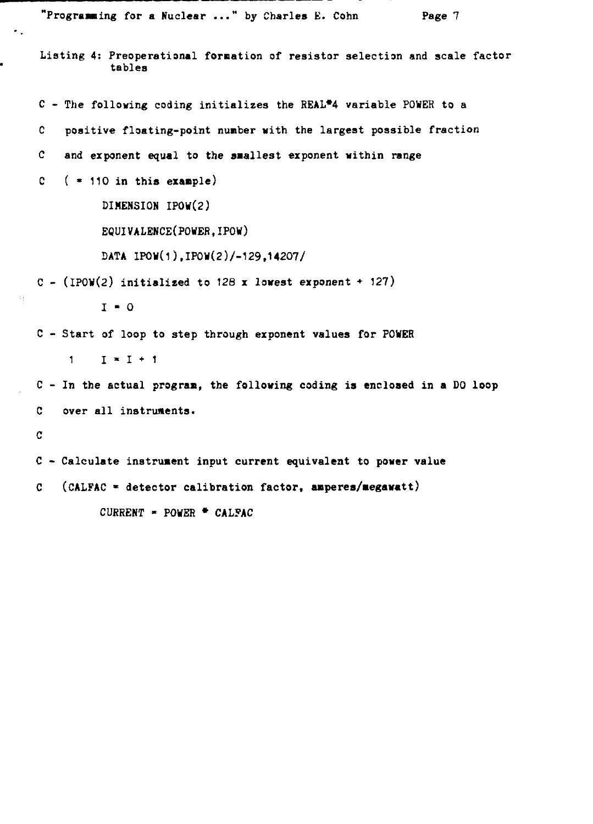```
"Programing for a Nuclear ..." by Charles E. Cohn Page 7
Listing 4: Preoperational formation of resistor selection and scale factor
           tables
C - The following coding initializes the REAL*4 variable POWER to a
C positive floating-point number with the largest possible fraction
C and exponent equal to the smallest exponent within range
C ( » 110 in this example)
          DIMENSION IP0V(2)
          EQUIVALENCE(POWER,JPOW)
          DATA IPOW(1),IPOW(2)/-129,14207/
C - (1)POW(2) initialized to 128 x lowest exponent + 127)
          I - 0
C - Start of loop to step through exponent values for POWER
    1 \tI * I * 1C - In the actual progran, the following coding is enclosed in a DO loop
C over all instruments.
C
C - Calculate instrument input current equivalent to power value
C (CALFAC * detector calibration factor, anperes/aegawatt)
         CURRENT » POWER • CAL?AC
```
 $\bullet$ .

 $\mathcal{X}^{\mathcal{A}}_{\mathcal{A}}$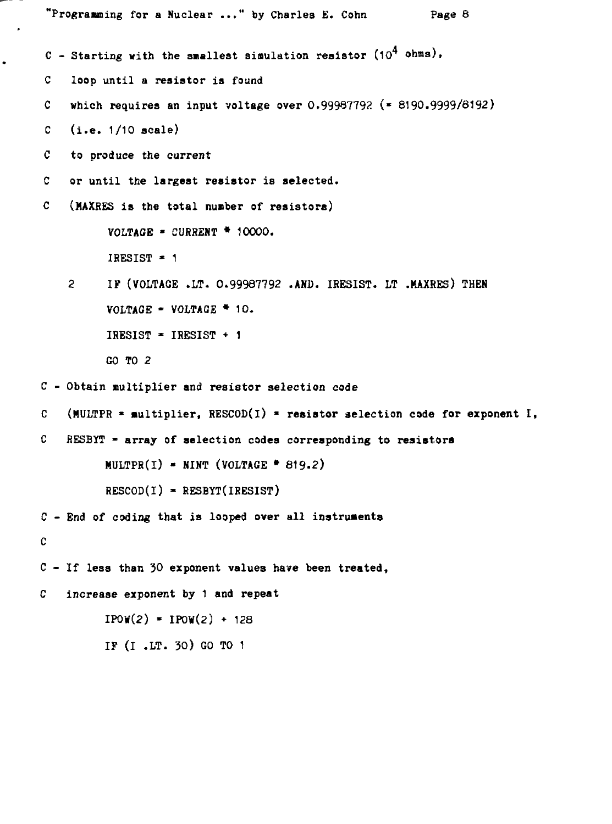```
"Programming for a Nuclear ..." by Charles E. Conn Page 8
C - Starting with the smallest simulation resistor (10^4 \text{ ohms}),
C loop until a resistor is found
C which requires an input voltage over 0.99987792 (• 8190.9999/8192)
C (i.e. 1/10 scale)
C to produce the current
C or until the largest resistor is selected.
C (HAXRES is the total number of resistors)
          VOLTAGE - CURRENT * 10000.
          IRESIST ' 1
    2 IF (VOLTAGE .LT. 0.99987792 .AND. IRESIST. LT .MAXRES) THEN
          VOLTAGE - VOLTAGE * 10.
          IRESIST * IRESIST + 1
          GO TO 2
C - Obtain multiplier and resistor selection cade
C (MULTPR » multiplier, RESCOD(l) - resistor selection code for exponent I,
C RESBYT « array of selection codes corresponding to resistors
         MULTPR(I) - NINT (VOLTAGE * 819.2)
         RESCOD(I) - RESBYT(IRESIST)
C - End of coding that is looped over all instruments
C
C - If less than 30 exponent values have been treated,
C increase exponent by 1 and repeat
         IPOW(2) = IPOW(2) + 128IF (I .LT. 30) GO TO 1
```
 $\bullet$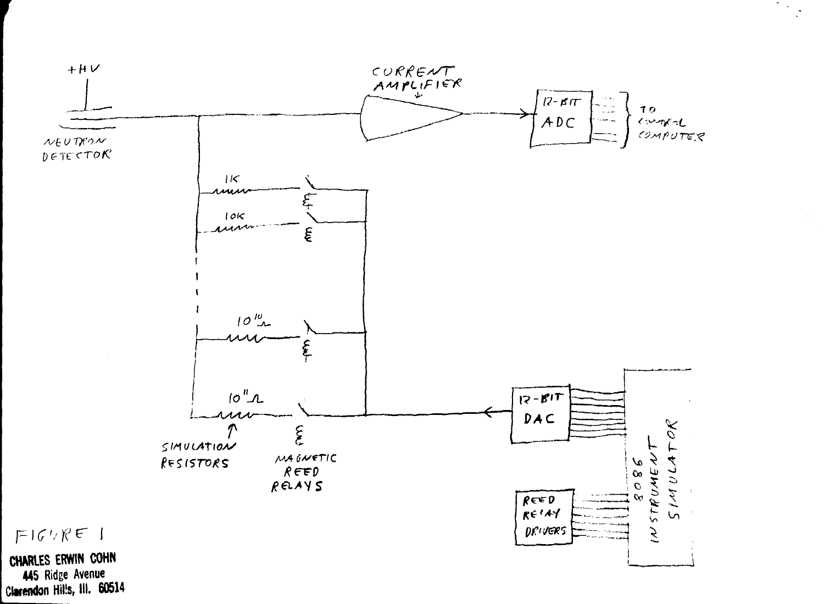